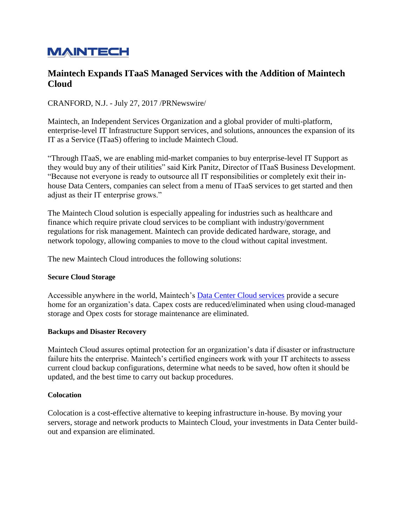# **MAINTECH**

## **Maintech Expands ITaaS Managed Services with the Addition of Maintech Cloud**

CRANFORD, N.J. - July 27, 2017 /PRNewswire/

Maintech, an Independent Services Organization and a global provider of multi-platform, enterprise-level IT Infrastructure Support services, and solutions, announces the expansion of its IT as a Service (ITaaS) offering to include Maintech Cloud.

"Through ITaaS, we are enabling mid-market companies to buy enterprise-level IT Support as they would buy any of their utilities" said Kirk Panitz, Director of ITaaS Business Development. "Because not everyone is ready to outsource all IT responsibilities or completely exit their inhouse Data Centers, companies can select from a menu of ITaaS services to get started and then adjust as their IT enterprise grows."

The Maintech Cloud solution is especially appealing for industries such as healthcare and finance which require private cloud services to be compliant with industry/government regulations for risk management. Maintech can provide dedicated hardware, storage, and network topology, allowing companies to move to the cloud without capital investment.

The new Maintech Cloud introduces the following solutions:

#### **Secure Cloud Storage**

Accessible anywhere in the world, Maintech's [Data Center Cloud services](https://www.maintech.com/data-center-cloud-services/) provide a secure home for an organization's data. Capex costs are reduced/eliminated when using cloud-managed storage and Opex costs for storage maintenance are eliminated.

#### **Backups and Disaster Recovery**

Maintech Cloud assures optimal protection for an organization's data if disaster or infrastructure failure hits the enterprise. Maintech's certified engineers work with your IT architects to assess current cloud backup configurations, determine what needs to be saved, how often it should be updated, and the best time to carry out backup procedures.

#### **Colocation**

Colocation is a cost-effective alternative to keeping infrastructure in-house. By moving your servers, storage and network products to Maintech Cloud, your investments in Data Center buildout and expansion are eliminated.